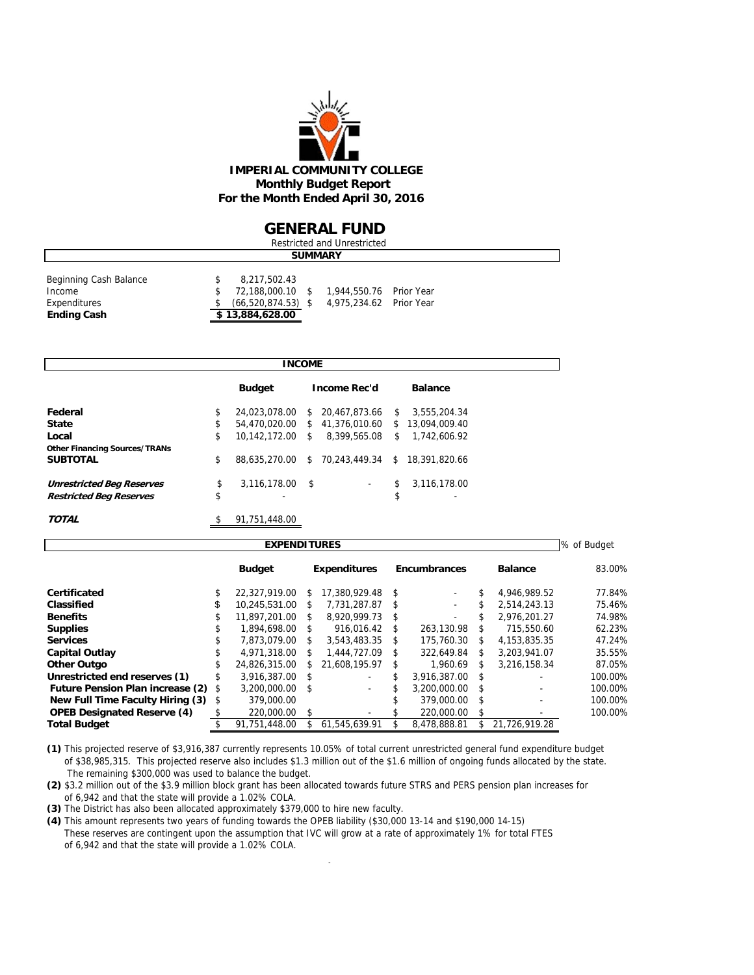

#### **GENERAL FUND**

|                        | Restricted and Unrestricted |                        |  |                         |  |  |  |  |  |  |  |  |
|------------------------|-----------------------------|------------------------|--|-------------------------|--|--|--|--|--|--|--|--|
| <b>SUMMARY</b>         |                             |                        |  |                         |  |  |  |  |  |  |  |  |
| Beginning Cash Balance |                             | 8,217,502.43           |  |                         |  |  |  |  |  |  |  |  |
| Income                 |                             | 72.188.000.10 \$       |  | 1,944,550.76 Prior Year |  |  |  |  |  |  |  |  |
| Expenditures           |                             | $(66, 520, 874.53)$ \$ |  | 4,975,234.62 Prior Year |  |  |  |  |  |  |  |  |
| <b>Ending Cash</b>     |                             | \$13,884,628.00        |  |                         |  |  |  |  |  |  |  |  |

|                                      | <b>INCOME</b> |                  |      |                     |    |                 |  |  |  |  |  |  |
|--------------------------------------|---------------|------------------|------|---------------------|----|-----------------|--|--|--|--|--|--|
|                                      |               | <b>Budget</b>    |      | <b>Income Rec'd</b> |    | <b>Balance</b>  |  |  |  |  |  |  |
| Federal                              | \$            | 24,023,078.00    |      | \$ 20.467.873.66    | -S | 3,555,204.34    |  |  |  |  |  |  |
| <b>State</b>                         | \$            | 54,470,020.00    |      | \$41.376.010.60     |    | \$13.094.009.40 |  |  |  |  |  |  |
| Local                                | \$            | 10.142.172.00 \$ |      | 8,399,565,08        | \$ | 1.742.606.92    |  |  |  |  |  |  |
| <b>Other Financing Sources/TRANs</b> |               |                  |      |                     |    |                 |  |  |  |  |  |  |
| <b>SUBTOTAL</b>                      | \$            | 88.635.270.00    | \$   | 70.243.449.34 \$    |    | 18,391,820.66   |  |  |  |  |  |  |
| <b>Unrestricted Beg Reserves</b>     | \$            | 3,116,178.00     | - \$ | $\sim$              | \$ | 3,116,178.00    |  |  |  |  |  |  |
| <b>Restricted Beg Reserves</b>       | \$            |                  |      |                     | \$ | ۰               |  |  |  |  |  |  |
| TOTAL                                | \$            | 91,751,448.00    |      |                     |    |                 |  |  |  |  |  |  |

|                                         |     | <b>EXPENDITURES</b> |      |                     |      |                          |      |                          | % of Budget |
|-----------------------------------------|-----|---------------------|------|---------------------|------|--------------------------|------|--------------------------|-------------|
|                                         |     | <b>Budget</b>       |      | <b>Expenditures</b> |      | <b>Encumbrances</b>      |      | <b>Balance</b>           | 83.00%      |
| Certificated                            |     | 22.327.919.00       | S.   | 17,380,929,48       | \$   |                          | \$.  | 4.946.989.52             | 77.84%      |
| Classified                              | \$  | 10.245.531.00       | S.   | 7.731.287.87        | -S   | $\overline{\phantom{a}}$ | \$   | 2.514.243.13             | 75.46%      |
| <b>Benefits</b>                         | \$  | 11.897.201.00       | \$   | 8.920.999.73        | - \$ |                          | S    | 2.976.201.27             | 74.98%      |
| <b>Supplies</b>                         | \$. | 1.894.698.00        | \$   | 916.016.42          | \$   | 263.130.98               | \$   | 715.550.60               | 62.23%      |
| <b>Services</b>                         |     | 7.873.079.00        | \$   | 3.543.483.35        | \$   | 175,760.30               | \$   | 4.153.835.35             | 47.24%      |
| <b>Capital Outlay</b>                   |     | 4.971.318.00        | S.   | 1.444.727.09        | S    | 322.649.84               | \$   | 3.203.941.07             | 35.55%      |
| <b>Other Outgo</b>                      | \$  | 24.826.315.00       | S.   | 21.608.195.97       | S.   | 1.960.69                 | S    | 3.216.158.34             | 87.05%      |
| Unrestricted end reserves (1)           |     | 3.916.387.00        | - \$ |                     |      | 3.916.387.00             | - \$ |                          | 100.00%     |
| <b>Future Pension Plan increase (2)</b> | \$  | 3.200.000.00        | - \$ | $\overline{a}$      |      | 3.200.000.00             | -S   |                          | 100.00%     |
| New Full Time Faculty Hiring (3)        | \$  | 379,000.00          |      |                     |      | 379,000.00               | -S   | $\overline{\phantom{0}}$ | 100.00%     |
| <b>OPEB Designated Reserve (4)</b>      |     | 220,000.00          | \$.  |                     |      | 220,000.00               | \$   |                          | 100.00%     |
| <b>Total Budget</b>                     |     | 91.751.448.00       |      | 61.545.639.91       |      | 8.478.888.81             |      | 21.726.919.28            |             |

**(1)** This projected reserve of \$3,916,387 currently represents 10.05% of total current unrestricted general fund expenditure budget of \$38,985,315. This projected reserve also includes \$1.3 million out of the \$1.6 million of ongoing funds allocated by the state. The remaining \$300,000 was used to balance the budget.

**(2)** \$3.2 million out of the \$3.9 million block grant has been allocated towards future STRS and PERS pension plan increases for of 6,942 and that the state will provide a 1.02% COLA.

**(3)** The District has also been allocated approximately \$379,000 to hire new faculty.

**(4)** This amount represents two years of funding towards the OPEB liability (\$30,000 13-14 and \$190,000 14-15) These reserves are contingent upon the assumption that IVC will grow at a rate of approximately 1% for total FTES of 6,942 and that the state will provide a 1.02% COLA.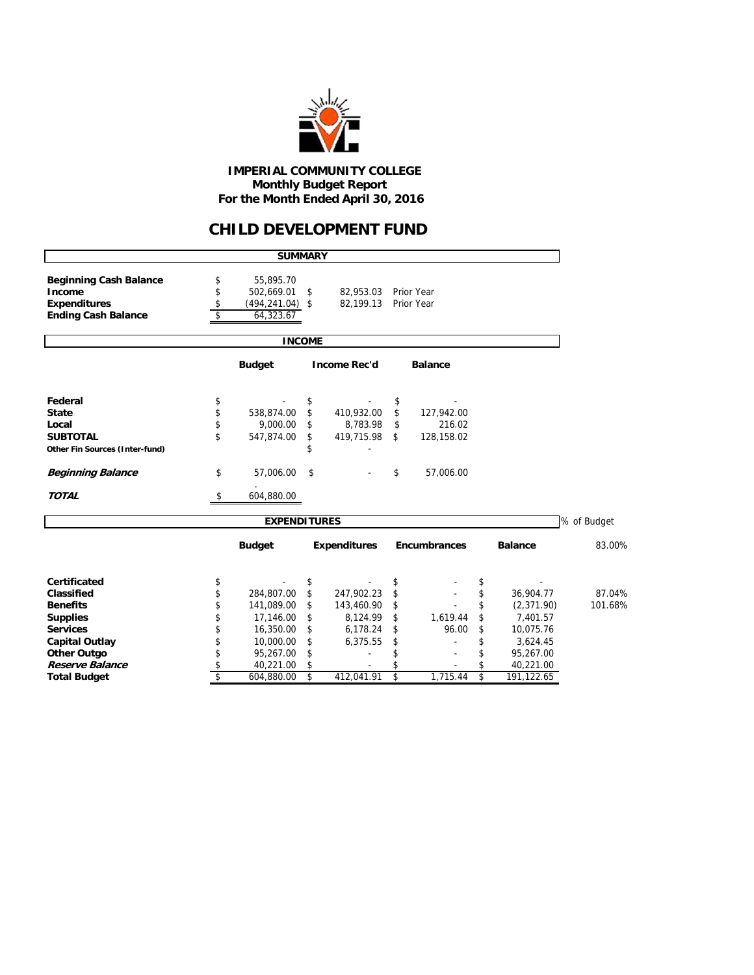

 **IMPERIAL COMMUNITY COLLEGE Monthly Budget Report For the Month Ended April 30, 2016**

### **CHILD DEVELOPMENT FUND**

|                                         |                          | <b>SUMMARY</b>          |               |                     |                  |                  |             |
|-----------------------------------------|--------------------------|-------------------------|---------------|---------------------|------------------|------------------|-------------|
| <b>Beginning Cash Balance</b><br>Income | \$<br>\$                 | 55,895.70<br>502,669.01 | \$            | 82,953.03           | Prior Year       |                  |             |
| <b>Expenditures</b>                     | \$                       | $(494, 241.04)$ \$      |               | 82.199.13           | Prior Year       |                  |             |
| <b>Ending Cash Balance</b>              | $\overline{\mathcal{L}}$ | 64,323.67               |               |                     |                  |                  |             |
|                                         |                          |                         | <b>INCOME</b> |                     |                  |                  |             |
|                                         |                          | <b>Budget</b>           |               | <b>Income Rec'd</b> | <b>Balance</b>   |                  |             |
| Federal                                 | \$                       |                         | \$            |                     | \$               |                  |             |
| <b>State</b>                            | \$                       | 538,874.00              | \$            | 410,932.00          | \$<br>127,942.00 |                  |             |
| Local                                   | \$                       | 9,000.00                | \$            | 8,783.98            | \$<br>216.02     |                  |             |
| <b>SUBTOTAL</b>                         | \$                       | 547,874.00              | \$            | 419,715.98          | \$<br>128,158.02 |                  |             |
| Other Fin Sources (Inter-fund)          |                          |                         |               |                     |                  |                  |             |
| <b>Beginning Balance</b>                | \$                       | 57,006.00               | \$            |                     | \$<br>57,006.00  |                  |             |
| <b>TOTAL</b>                            | \$                       | 604,880.00              |               |                     |                  |                  |             |
|                                         |                          | <b>EXPENDITURES</b>     |               |                     |                  |                  | % of Budget |
|                                         |                          | <b>Budget</b>           |               | <b>Expenditures</b> | Encumbrances     | <b>Balance</b>   | 83.00%      |
| <b>Certificated</b>                     | \$                       |                         | \$            |                     | \$               | \$               |             |
| Classified                              | \$                       | 284,807.00              | \$            | 247,902.23          | \$               | \$<br>36,904.77  | 87.04%      |
| <b>Benefits</b>                         | \$                       | 141,089.00              | \$            | 143,460.90          | \$               | \$<br>(2,371.90) | 101.68%     |
| <b>Supplies</b>                         | \$                       | 17,146.00               | \$            | 8,124.99            | \$<br>1,619.44   | \$<br>7,401.57   |             |
| <b>Services</b>                         | \$                       | 16,350.00               | \$            | 6,178.24            | \$<br>96.00      | \$<br>10,075.76  |             |
| <b>Capital Outlay</b>                   | \$                       | 10,000.00               | \$            | 6,375.55            | \$               | \$<br>3,624.45   |             |
| <b>Other Outgo</b>                      | \$                       | 95,267.00               | \$            |                     | \$               | \$<br>95,267.00  |             |
| Reserve Balance                         | \$                       | 40,221.00               | \$            |                     |                  | \$<br>40,221.00  |             |
| <b>Total Budget</b>                     | $\overline{\mathsf{s}}$  | 604,880.00              | \$            | 412.041.91          | \$<br>1.715.44   | \$<br>191,122.65 |             |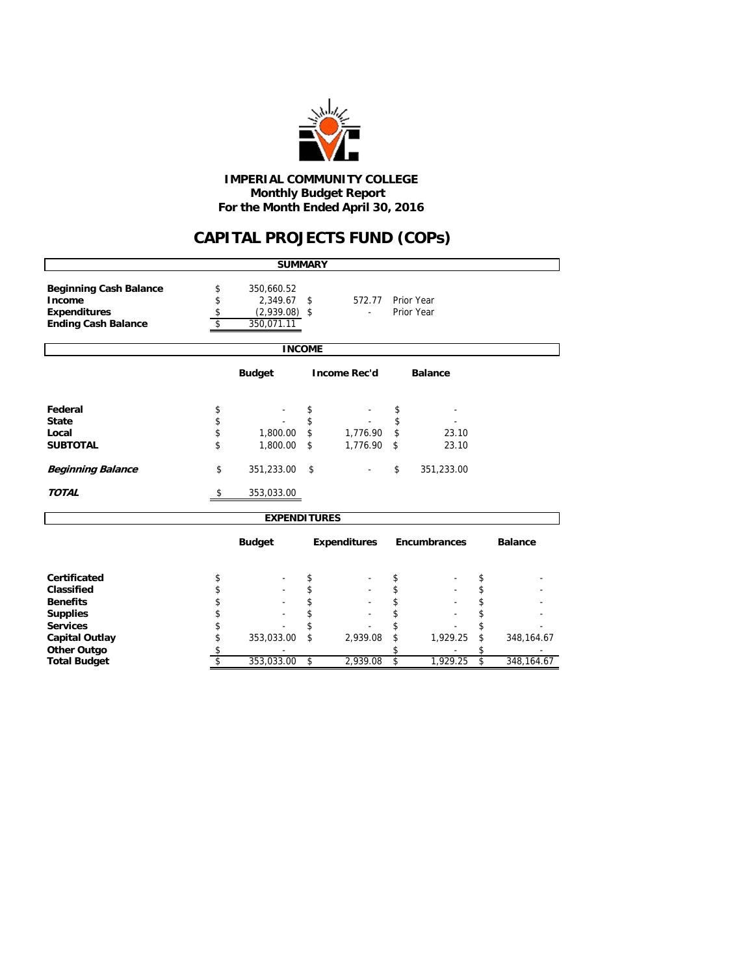

#### **Monthly Budget Report For the Month Ended April 30, 2016 IMPERIAL COMMUNITY COLLEGE**

# **CAPITAL PROJECTS FUND (COPs)**

|                                                                                              |                      | <b>SUMMARY</b>                                          |          |                     |          |                          |          |                |
|----------------------------------------------------------------------------------------------|----------------------|---------------------------------------------------------|----------|---------------------|----------|--------------------------|----------|----------------|
| <b>Beginning Cash Balance</b><br>Income<br><b>Expenditures</b><br><b>Ending Cash Balance</b> | \$<br>\$<br>\$<br>\$ | 350,660.52<br>2,349.67<br>$(2,939.08)$ \$<br>350,071.11 | \$       | 572.77              |          | Prior Year<br>Prior Year |          |                |
|                                                                                              |                      | <b>INCOME</b>                                           |          |                     |          |                          |          |                |
|                                                                                              |                      | <b>Budget</b>                                           |          | <b>Income Rec'd</b> |          | <b>Balance</b>           |          |                |
| Federal                                                                                      | \$                   |                                                         | \$       |                     | \$       |                          |          |                |
| <b>State</b>                                                                                 | \$                   |                                                         | \$       |                     | \$       |                          |          |                |
| Local                                                                                        | \$                   | 1,800.00                                                | \$       | 1,776.90            | \$       | 23.10                    |          |                |
| <b>SUBTOTAL</b>                                                                              | \$                   | 1,800.00                                                | \$       | 1,776.90            | \$       | 23.10                    |          |                |
| <b>Beginning Balance</b>                                                                     | \$                   | 351,233.00                                              | \$       |                     | \$       | 351,233.00               |          |                |
| <b>TOTAL</b>                                                                                 | \$                   | 353,033.00                                              |          |                     |          |                          |          |                |
|                                                                                              |                      | <b>EXPENDITURES</b>                                     |          |                     |          |                          |          |                |
|                                                                                              |                      | <b>Budget</b>                                           |          | <b>Expenditures</b> |          | <b>Encumbrances</b>      |          | <b>Balance</b> |
| <b>Certificated</b>                                                                          |                      |                                                         |          |                     |          |                          |          |                |
| Classified                                                                                   | \$<br>\$             |                                                         | \$<br>\$ |                     | \$<br>\$ |                          | \$<br>\$ |                |
| <b>Benefits</b>                                                                              | \$                   |                                                         | \$       |                     | \$       |                          | \$       |                |
| <b>Supplies</b>                                                                              | \$                   |                                                         | \$       |                     | \$       |                          | \$       |                |
| <b>Services</b>                                                                              | \$                   |                                                         | \$       |                     | \$       |                          | \$       |                |
| <b>Capital Outlay</b>                                                                        | \$                   | 353,033.00                                              | \$       | 2,939.08            | \$       | 1,929.25                 | \$       | 348, 164. 67   |
| <b>Other Outgo</b>                                                                           | \$                   |                                                         |          |                     | \$       |                          |          |                |
| <b>Total Budget</b>                                                                          | \$                   | 353,033.00                                              | \$       | 2,939.08            | \$       | 1,929.25                 | \$       | 348,164.67     |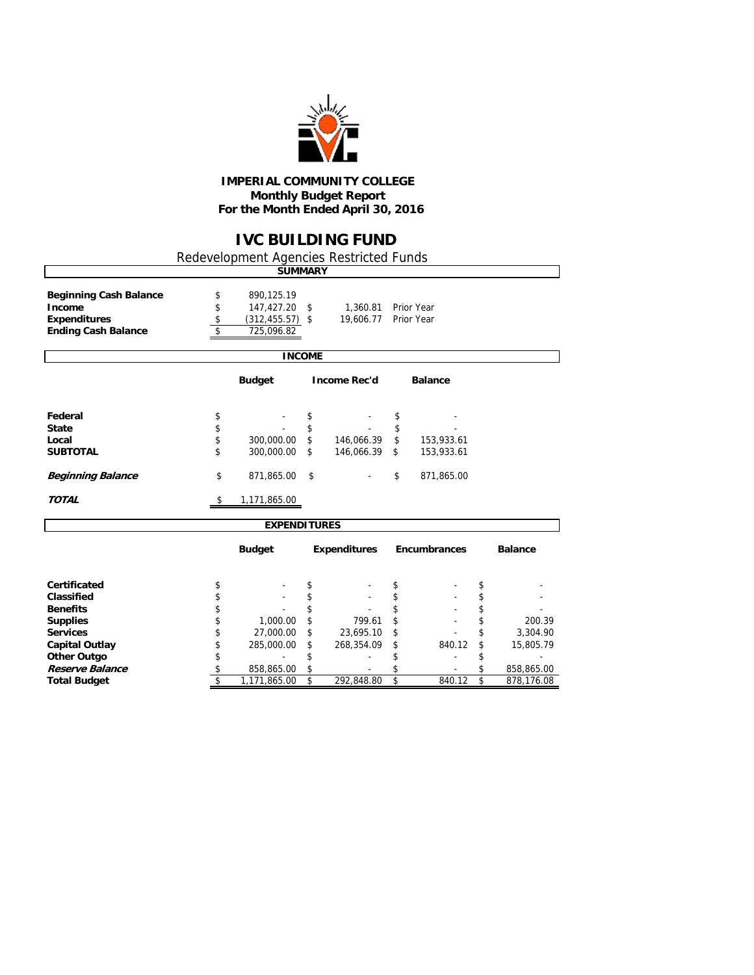

#### **IMPERIAL COMMUNITY COLLEGE Monthly Budget Report For the Month Ended April 30, 2016**

## **IVC BUILDING FUND**

٦

Redevelopment Agencies Restricted Funds

|                                                                                              |                      | <b>SUMMARY</b>                                                  |                |                       |                |                          |          |                |
|----------------------------------------------------------------------------------------------|----------------------|-----------------------------------------------------------------|----------------|-----------------------|----------------|--------------------------|----------|----------------|
| <b>Beginning Cash Balance</b><br>Income<br><b>Expenditures</b><br><b>Ending Cash Balance</b> | \$<br>\$<br>\$<br>\$ | 890,125.19<br>147,427.20 \$<br>$(312, 455.57)$ \$<br>725,096.82 |                | 1,360.81<br>19,606.77 |                | Prior Year<br>Prior Year |          |                |
|                                                                                              |                      |                                                                 | <b>INCOME</b>  |                       |                |                          |          |                |
|                                                                                              |                      | <b>Budget</b>                                                   |                | <b>Income Rec'd</b>   |                | <b>Balance</b>           |          |                |
| Federal<br><b>State</b><br>Local                                                             | \$<br>\$<br>\$       | 300,000.00                                                      | \$<br>\$<br>\$ | 146,066.39            | \$<br>\$<br>\$ | 153,933.61               |          |                |
| <b>SUBTOTAL</b>                                                                              | \$                   | 300,000.00                                                      | \$             | 146,066.39            | \$             | 153,933.61               |          |                |
| <b>Beginning Balance</b>                                                                     | \$                   | 871,865.00                                                      | \$             |                       | \$             | 871,865.00               |          |                |
| <b>TOTAL</b>                                                                                 | \$                   | 1,171,865.00                                                    |                |                       |                |                          |          |                |
|                                                                                              |                      | <b>EXPENDITURES</b>                                             |                |                       |                |                          |          |                |
|                                                                                              |                      | <b>Budget</b>                                                   |                | <b>Expenditures</b>   |                | Encumbrances             |          | <b>Balance</b> |
| Certificated                                                                                 | \$                   |                                                                 | \$             |                       | \$             |                          | \$       |                |
| Classified                                                                                   | \$                   |                                                                 | \$             |                       | \$             |                          | \$       |                |
| <b>Benefits</b><br><b>Supplies</b>                                                           | \$<br>\$             | 1,000.00                                                        | \$<br>\$       | 799.61                | \$<br>\$       |                          | \$<br>\$ | 200.39         |
| <b>Services</b>                                                                              | \$                   | 27,000.00                                                       | \$             | 23,695.10             | \$             |                          | \$       | 3,304.90       |
| <b>Capital Outlay</b>                                                                        | \$                   | 285,000.00                                                      | \$             | 268,354.09            | \$             | 840.12                   | \$       | 15,805.79      |
| <b>Other Outgo</b>                                                                           | \$                   |                                                                 | \$             |                       | \$             |                          | \$       |                |
| Reserve Balance                                                                              | \$                   | 858,865.00                                                      | \$             |                       | \$             |                          | \$       | 858,865.00     |
| <b>Total Budget</b>                                                                          | \$                   | 1,171,865.00                                                    | \$             | 292,848.80            | \$             | 840.12                   | \$       | 878,176.08     |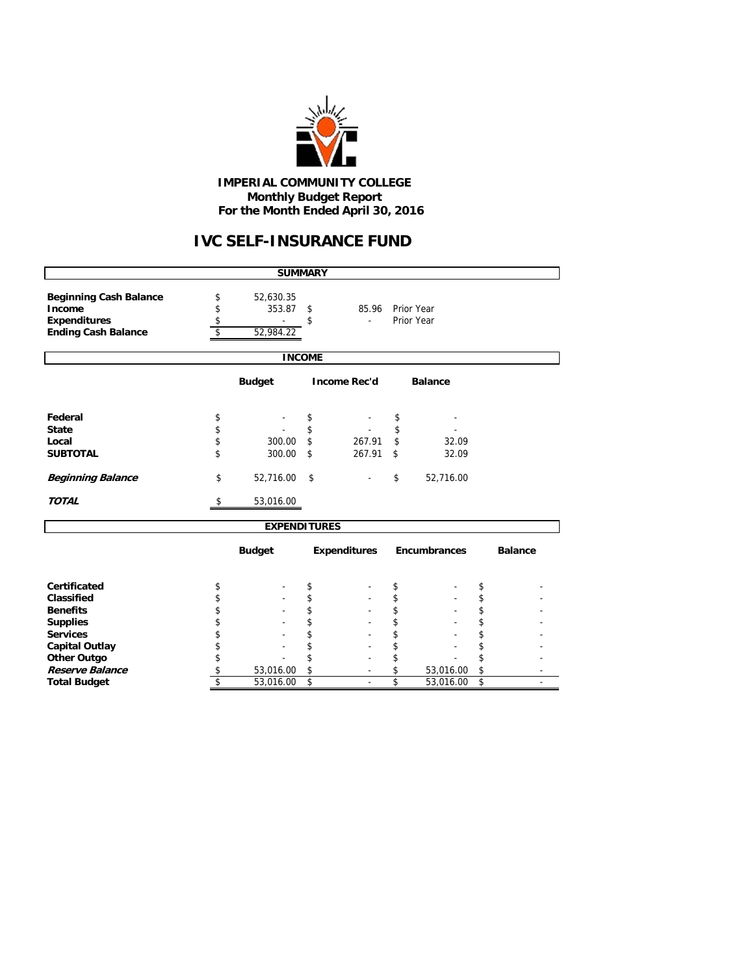

#### **IMPERIAL COMMUNITY COLLEGE Monthly Budget Report For the Month Ended April 30, 2016**

# **IVC SELF-INSURANCE FUND**

|                                                                |                | <b>SUMMARY</b>      |               |                        |                     |                |
|----------------------------------------------------------------|----------------|---------------------|---------------|------------------------|---------------------|----------------|
| <b>Beginning Cash Balance</b><br>Income<br><b>Expenditures</b> | \$<br>\$<br>\$ | 52,630.35<br>353.87 | \$<br>\$      | 85.96 Prior Year<br>÷. | Prior Year          |                |
| <b>Ending Cash Balance</b>                                     | \$             | 52,984.22           |               |                        |                     |                |
|                                                                |                |                     |               |                        |                     |                |
|                                                                |                |                     | <b>INCOME</b> |                        |                     |                |
|                                                                |                | <b>Budget</b>       |               | <b>Income Rec'd</b>    | <b>Balance</b>      |                |
| Federal                                                        | \$             |                     | \$            |                        | \$                  |                |
| <b>State</b>                                                   | \$             |                     | \$            |                        | \$                  |                |
| Local                                                          | \$             | 300.00              | \$            | 267.91                 | \$<br>32.09         |                |
| <b>SUBTOTAL</b>                                                | \$             | 300.00              | \$            | 267.91                 | \$<br>32.09         |                |
| <b>Beginning Balance</b>                                       | \$             | 52,716.00           | \$            |                        | \$<br>52,716.00     |                |
| <b>TOTAL</b>                                                   | S              | 53,016.00           |               |                        |                     |                |
|                                                                |                | <b>EXPENDITURES</b> |               |                        |                     |                |
|                                                                |                | <b>Budget</b>       |               | <b>Expenditures</b>    | <b>Encumbrances</b> | <b>Balance</b> |
| Certificated                                                   | \$             |                     | \$            |                        | \$                  | \$             |
| Classified                                                     | \$             |                     | \$            |                        | \$                  | \$             |
| <b>Benefits</b>                                                | \$             |                     | \$            |                        | \$                  | \$             |
| <b>Supplies</b>                                                | \$             |                     | \$            |                        | \$                  | \$             |
| <b>Services</b>                                                | \$             |                     | \$            |                        | \$                  | \$             |
| <b>Capital Outlay</b>                                          | \$             |                     | \$            |                        | \$                  | \$             |
| <b>Other Outgo</b>                                             | \$             |                     | \$            |                        | \$                  | \$             |
| Reserve Balance                                                | \$             | 53,016.00           | \$            |                        | \$<br>53,016.00     | \$             |
| <b>Total Budget</b>                                            | \$             | 53,016.00           | \$            |                        | \$<br>53,016.00     | \$             |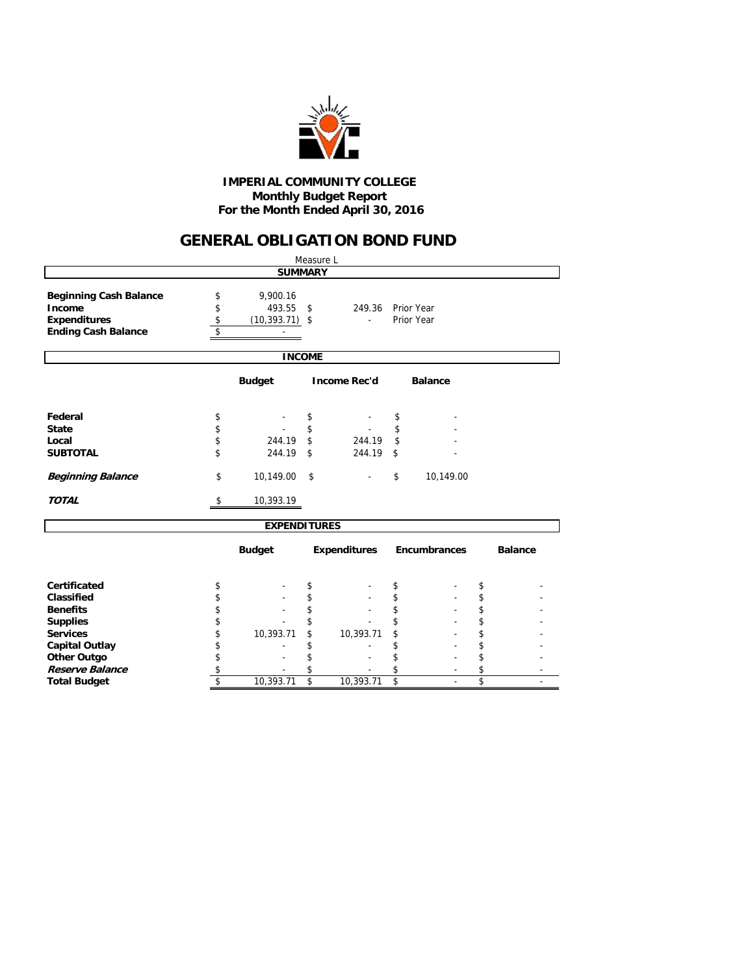

#### **Monthly Budget Report For the Month Ended April 30, 2016 IMPERIAL COMMUNITY COLLEGE**

### **GENERAL OBLIGATION BOND FUND**

|                                                                                              |                      |                                         | Measure L     |                                    |                          |                |
|----------------------------------------------------------------------------------------------|----------------------|-----------------------------------------|---------------|------------------------------------|--------------------------|----------------|
|                                                                                              |                      | <b>SUMMARY</b>                          |               |                                    |                          |                |
| <b>Beginning Cash Balance</b><br>Income<br><b>Expenditures</b><br><b>Ending Cash Balance</b> | \$<br>\$<br>\$<br>\$ | 9,900.16<br>493.55<br>$(10, 393.71)$ \$ | \$            | 249.36<br>$\overline{\phantom{a}}$ | Prior Year<br>Prior Year |                |
|                                                                                              |                      |                                         | <b>INCOME</b> |                                    |                          |                |
|                                                                                              |                      | <b>Budget</b>                           |               | <b>Income Rec'd</b>                | <b>Balance</b>           |                |
| Federal                                                                                      | \$                   |                                         | \$            |                                    | \$                       |                |
| <b>State</b>                                                                                 | \$                   |                                         | \$            |                                    | \$                       |                |
| Local                                                                                        | \$                   | 244.19                                  | \$            | 244.19                             | \$                       |                |
| <b>SUBTOTAL</b>                                                                              | \$                   | 244.19                                  | \$            | 244.19                             | \$                       |                |
| <b>Beginning Balance</b>                                                                     | \$                   | 10,149.00                               | \$            |                                    | \$<br>10,149.00          |                |
| <b>TOTAL</b>                                                                                 | \$                   | 10,393.19                               |               |                                    |                          |                |
|                                                                                              |                      | <b>EXPENDITURES</b>                     |               |                                    |                          |                |
|                                                                                              |                      | <b>Budget</b>                           |               | <b>Expenditures</b>                | Encumbrances             | <b>Balance</b> |
| <b>Certificated</b>                                                                          | \$                   |                                         | \$            |                                    | \$                       | \$             |
| Classified                                                                                   | \$                   |                                         | \$            |                                    | \$                       | \$             |
| <b>Benefits</b>                                                                              | \$                   |                                         | \$            |                                    | \$                       | \$             |
| <b>Supplies</b>                                                                              | \$                   |                                         |               |                                    | \$                       | \$             |
| <b>Services</b>                                                                              | \$                   | 10,393.71                               | \$            | 10,393.71                          | \$                       | \$             |
| <b>Capital Outlay</b>                                                                        | \$                   |                                         | \$            |                                    | \$                       | \$             |
| <b>Other Outgo</b>                                                                           | \$                   |                                         | \$            |                                    | \$                       | \$             |
| <b>Reserve Balance</b>                                                                       | \$                   |                                         | \$            |                                    | \$                       | \$             |
| <b>Total Budget</b>                                                                          | \$                   | 10,393.71                               | \$            | 10,393.71                          | \$                       | \$             |